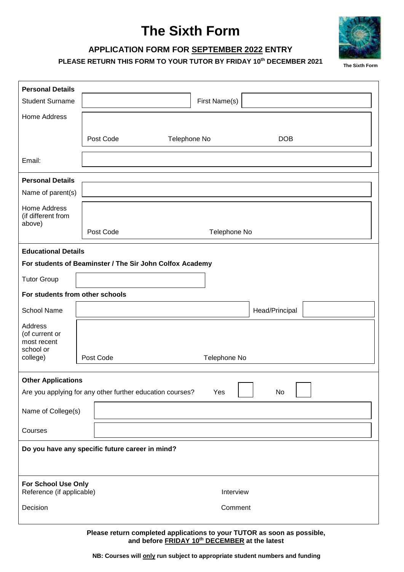# **The Sixth Form**



## **APPLICATION FORM FOR SEPTEMBER 2022 ENTRY**

**PLEASE RETURN THIS FORM TO YOUR TUTOR BY FRIDAY 10 th DECEMBER 2021**

| <b>Personal Details</b>                                                                             |                                                                                                                          |  |  |  |  |  |  |  |
|-----------------------------------------------------------------------------------------------------|--------------------------------------------------------------------------------------------------------------------------|--|--|--|--|--|--|--|
| <b>Student Surname</b>                                                                              | First Name(s)                                                                                                            |  |  |  |  |  |  |  |
| <b>Home Address</b>                                                                                 |                                                                                                                          |  |  |  |  |  |  |  |
|                                                                                                     |                                                                                                                          |  |  |  |  |  |  |  |
|                                                                                                     | Post Code<br>Telephone No<br><b>DOB</b>                                                                                  |  |  |  |  |  |  |  |
| Email:                                                                                              |                                                                                                                          |  |  |  |  |  |  |  |
| <b>Personal Details</b>                                                                             |                                                                                                                          |  |  |  |  |  |  |  |
| Name of parent(s)                                                                                   |                                                                                                                          |  |  |  |  |  |  |  |
| <b>Home Address</b><br>(if different from<br>above)                                                 |                                                                                                                          |  |  |  |  |  |  |  |
|                                                                                                     | Post Code<br>Telephone No                                                                                                |  |  |  |  |  |  |  |
| <b>Educational Details</b>                                                                          |                                                                                                                          |  |  |  |  |  |  |  |
| For students of Beaminster / The Sir John Colfox Academy                                            |                                                                                                                          |  |  |  |  |  |  |  |
| <b>Tutor Group</b>                                                                                  |                                                                                                                          |  |  |  |  |  |  |  |
| For students from other schools                                                                     |                                                                                                                          |  |  |  |  |  |  |  |
| <b>School Name</b>                                                                                  | Head/Principal                                                                                                           |  |  |  |  |  |  |  |
| Address<br>(of current or<br>most recent<br>school or                                               |                                                                                                                          |  |  |  |  |  |  |  |
| college)                                                                                            | Post Code<br>Telephone No                                                                                                |  |  |  |  |  |  |  |
|                                                                                                     |                                                                                                                          |  |  |  |  |  |  |  |
| <b>Other Applications</b><br>Are you applying for any other further education courses?<br>Yes<br>No |                                                                                                                          |  |  |  |  |  |  |  |
| Name of College(s)                                                                                  |                                                                                                                          |  |  |  |  |  |  |  |
| Courses                                                                                             |                                                                                                                          |  |  |  |  |  |  |  |
| Do you have any specific future career in mind?                                                     |                                                                                                                          |  |  |  |  |  |  |  |
|                                                                                                     |                                                                                                                          |  |  |  |  |  |  |  |
| For School Use Only<br>Reference (if applicable)                                                    | Interview                                                                                                                |  |  |  |  |  |  |  |
| Decision                                                                                            | Comment                                                                                                                  |  |  |  |  |  |  |  |
|                                                                                                     | Please return completed applications to your TUTOR as soon as possible,<br>and before FRIDAY 10th DECEMBER at the latest |  |  |  |  |  |  |  |

**NB: Courses will only run subject to appropriate student numbers and funding**